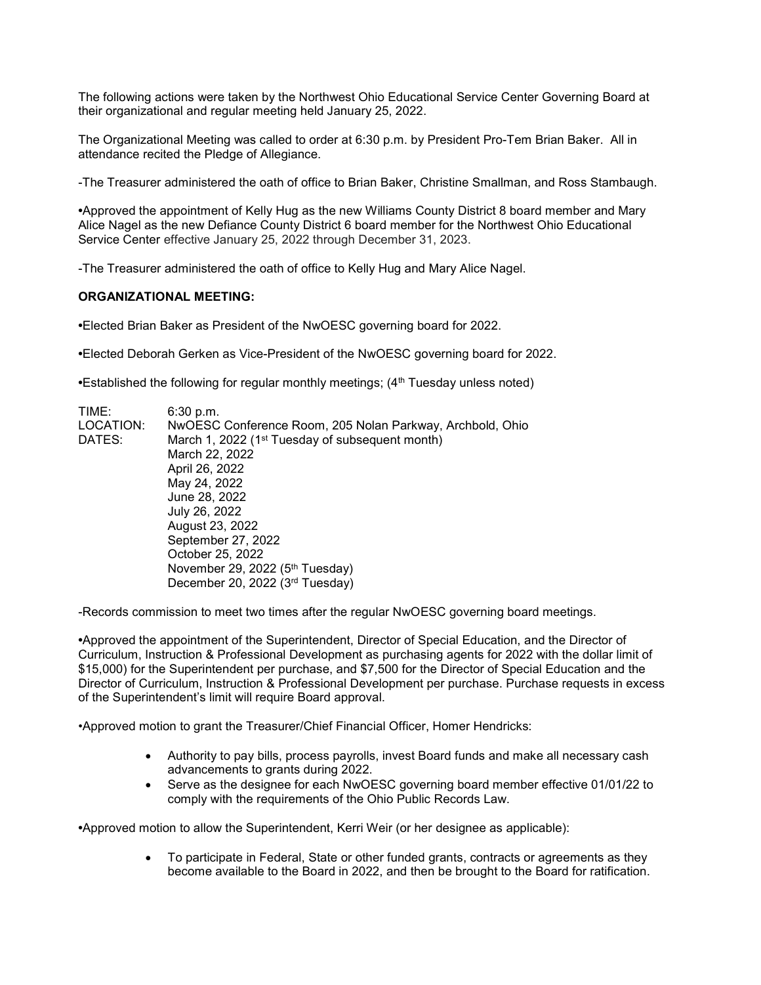The following actions were taken by the Northwest Ohio Educational Service Center Governing Board at their organizational and regular meeting held January 25, 2022.

The Organizational Meeting was called to order at 6:30 p.m. by President Pro-Tem Brian Baker. All in attendance recited the Pledge of Allegiance.

-The Treasurer administered the oath of office to Brian Baker, Christine Smallman, and Ross Stambaugh.

•Approved the appointment of Kelly Hug as the new Williams County District 8 board member and Mary Alice Nagel as the new Defiance County District 6 board member for the Northwest Ohio Educational Service Center effective January 25, 2022 through December 31, 2023.

-The Treasurer administered the oath of office to Kelly Hug and Mary Alice Nagel.

# ORGANIZATIONAL MEETING:

•Elected Brian Baker as President of the NwOESC governing board for 2022.

•Elected Deborah Gerken as Vice-President of the NwOESC governing board for 2022.

•Established the following for regular monthly meetings;  $(4<sup>th</sup> Tuesday unless noted)$ 

| TIME:     | 6:30 p.m.                                                   |
|-----------|-------------------------------------------------------------|
| LOCATION: | NwOESC Conference Room, 205 Nolan Parkway, Archbold, Ohio   |
| DATES:    | March 1, 2022 (1 <sup>st</sup> Tuesday of subsequent month) |
|           | March 22, 2022                                              |
|           | April 26, 2022                                              |
|           | May 24, 2022                                                |
|           | June 28, 2022                                               |
|           | July 26, 2022                                               |
|           | August 23, 2022                                             |
|           | September 27, 2022                                          |
|           | October 25, 2022                                            |
|           | November 29, 2022 (5th Tuesday)                             |
|           | December 20, 2022 (3rd Tuesday)                             |

-Records commission to meet two times after the regular NwOESC governing board meetings.

•Approved the appointment of the Superintendent, Director of Special Education, and the Director of Curriculum, Instruction & Professional Development as purchasing agents for 2022 with the dollar limit of \$15,000) for the Superintendent per purchase, and \$7,500 for the Director of Special Education and the Director of Curriculum, Instruction & Professional Development per purchase. Purchase requests in excess of the Superintendent's limit will require Board approval.

•Approved motion to grant the Treasurer/Chief Financial Officer, Homer Hendricks:

- Authority to pay bills, process payrolls, invest Board funds and make all necessary cash advancements to grants during 2022.
- Serve as the designee for each NwOESC governing board member effective 01/01/22 to comply with the requirements of the Ohio Public Records Law.

•Approved motion to allow the Superintendent, Kerri Weir (or her designee as applicable):

 To participate in Federal, State or other funded grants, contracts or agreements as they become available to the Board in 2022, and then be brought to the Board for ratification.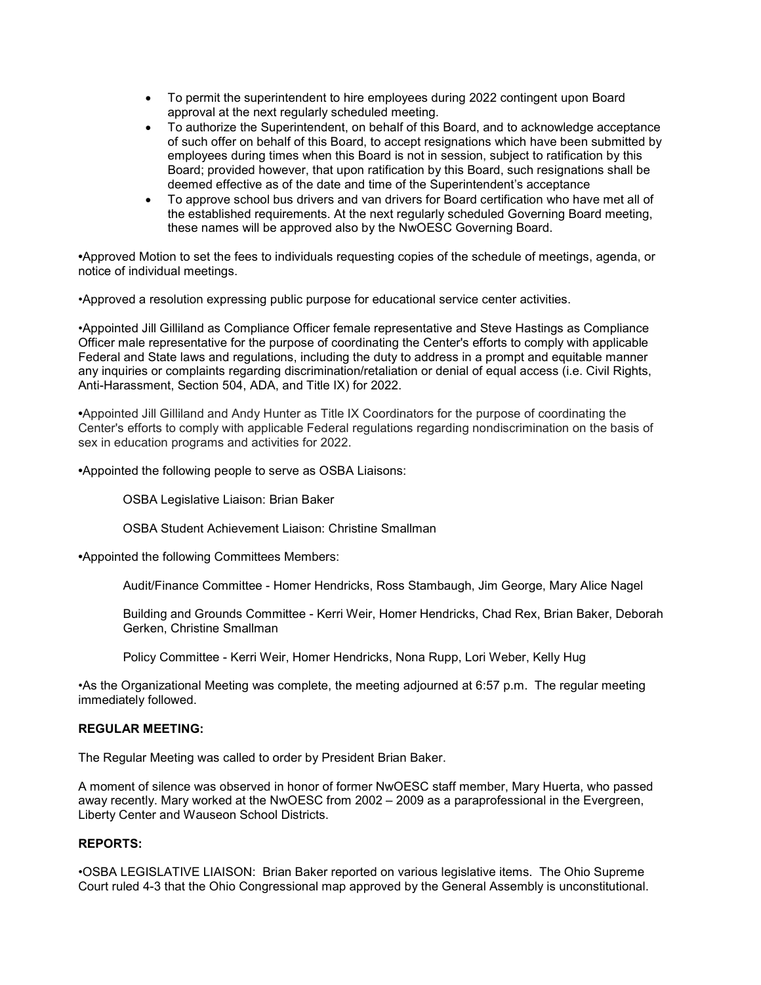- To permit the superintendent to hire employees during 2022 contingent upon Board approval at the next regularly scheduled meeting.
- To authorize the Superintendent, on behalf of this Board, and to acknowledge acceptance of such offer on behalf of this Board, to accept resignations which have been submitted by employees during times when this Board is not in session, subject to ratification by this Board; provided however, that upon ratification by this Board, such resignations shall be deemed effective as of the date and time of the Superintendent's acceptance
- To approve school bus drivers and van drivers for Board certification who have met all of the established requirements. At the next regularly scheduled Governing Board meeting, these names will be approved also by the NwOESC Governing Board.

•Approved Motion to set the fees to individuals requesting copies of the schedule of meetings, agenda, or notice of individual meetings.

•Approved a resolution expressing public purpose for educational service center activities.

•Appointed Jill Gilliland as Compliance Officer female representative and Steve Hastings as Compliance Officer male representative for the purpose of coordinating the Center's efforts to comply with applicable Federal and State laws and regulations, including the duty to address in a prompt and equitable manner any inquiries or complaints regarding discrimination/retaliation or denial of equal access (i.e. Civil Rights, Anti-Harassment, Section 504, ADA, and Title IX) for 2022.

•Appointed Jill Gilliland and Andy Hunter as Title IX Coordinators for the purpose of coordinating the Center's efforts to comply with applicable Federal regulations regarding nondiscrimination on the basis of sex in education programs and activities for 2022.

•Appointed the following people to serve as OSBA Liaisons:

OSBA Legislative Liaison: Brian Baker

OSBA Student Achievement Liaison: Christine Smallman

•Appointed the following Committees Members:

Audit/Finance Committee - Homer Hendricks, Ross Stambaugh, Jim George, Mary Alice Nagel

Building and Grounds Committee - Kerri Weir, Homer Hendricks, Chad Rex, Brian Baker, Deborah Gerken, Christine Smallman

Policy Committee - Kerri Weir, Homer Hendricks, Nona Rupp, Lori Weber, Kelly Hug

•As the Organizational Meeting was complete, the meeting adjourned at 6:57 p.m. The regular meeting immediately followed.

## REGULAR MEETING:

The Regular Meeting was called to order by President Brian Baker.

A moment of silence was observed in honor of former NwOESC staff member, Mary Huerta, who passed away recently. Mary worked at the NwOESC from 2002 – 2009 as a paraprofessional in the Evergreen, Liberty Center and Wauseon School Districts.

## REPORTS:

•OSBA LEGISLATIVE LIAISON: Brian Baker reported on various legislative items. The Ohio Supreme Court ruled 4-3 that the Ohio Congressional map approved by the General Assembly is unconstitutional.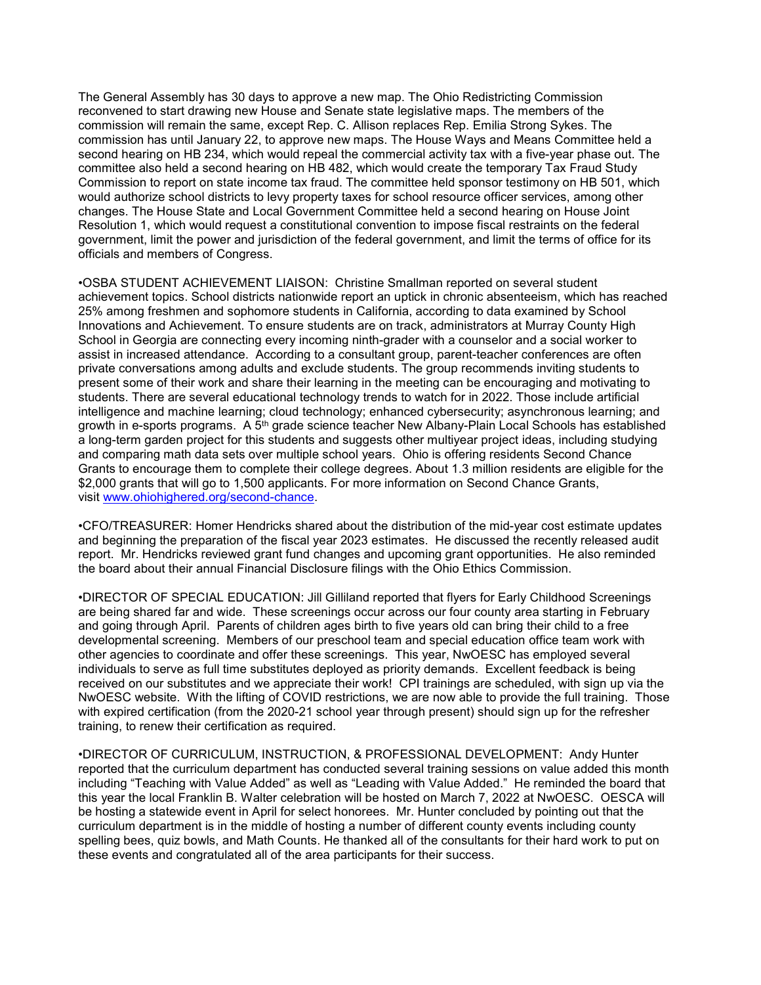The General Assembly has 30 days to approve a new map. The Ohio Redistricting Commission reconvened to start drawing new House and Senate state legislative maps. The members of the commission will remain the same, except Rep. C. Allison replaces Rep. Emilia Strong Sykes. The commission has until January 22, to approve new maps. The House Ways and Means Committee held a second hearing on HB 234, which would repeal the commercial activity tax with a five-year phase out. The committee also held a second hearing on HB 482, which would create the temporary Tax Fraud Study Commission to report on state income tax fraud. The committee held sponsor testimony on HB 501, which would authorize school districts to levy property taxes for school resource officer services, among other changes. The House State and Local Government Committee held a second hearing on House Joint Resolution 1, which would request a constitutional convention to impose fiscal restraints on the federal government, limit the power and jurisdiction of the federal government, and limit the terms of office for its officials and members of Congress.

•OSBA STUDENT ACHIEVEMENT LIAISON: Christine Smallman reported on several student achievement topics. School districts nationwide report an uptick in chronic absenteeism, which has reached 25% among freshmen and sophomore students in California, according to data examined by School Innovations and Achievement. To ensure students are on track, administrators at Murray County High School in Georgia are connecting every incoming ninth-grader with a counselor and a social worker to assist in increased attendance. According to a consultant group, parent-teacher conferences are often private conversations among adults and exclude students. The group recommends inviting students to present some of their work and share their learning in the meeting can be encouraging and motivating to students. There are several educational technology trends to watch for in 2022. Those include artificial intelligence and machine learning; cloud technology; enhanced cybersecurity; asynchronous learning; and growth in e-sports programs. A 5<sup>th</sup> grade science teacher New Albany-Plain Local Schools has established a long-term garden project for this students and suggests other multiyear project ideas, including studying and comparing math data sets over multiple school years. Ohio is offering residents Second Chance Grants to encourage them to complete their college degrees. About 1.3 million residents are eligible for the \$2,000 grants that will go to 1,500 applicants. For more information on Second Chance Grants, visit www.ohiohighered.org/second-chance.

•CFO/TREASURER: Homer Hendricks shared about the distribution of the mid-year cost estimate updates and beginning the preparation of the fiscal year 2023 estimates. He discussed the recently released audit report. Mr. Hendricks reviewed grant fund changes and upcoming grant opportunities. He also reminded the board about their annual Financial Disclosure filings with the Ohio Ethics Commission.

•DIRECTOR OF SPECIAL EDUCATION: Jill Gilliland reported that flyers for Early Childhood Screenings are being shared far and wide. These screenings occur across our four county area starting in February and going through April. Parents of children ages birth to five years old can bring their child to a free developmental screening. Members of our preschool team and special education office team work with other agencies to coordinate and offer these screenings. This year, NwOESC has employed several individuals to serve as full time substitutes deployed as priority demands. Excellent feedback is being received on our substitutes and we appreciate their work! CPI trainings are scheduled, with sign up via the NwOESC website. With the lifting of COVID restrictions, we are now able to provide the full training. Those with expired certification (from the 2020-21 school year through present) should sign up for the refresher training, to renew their certification as required.

•DIRECTOR OF CURRICULUM, INSTRUCTION, & PROFESSIONAL DEVELOPMENT: Andy Hunter reported that the curriculum department has conducted several training sessions on value added this month including "Teaching with Value Added" as well as "Leading with Value Added." He reminded the board that this year the local Franklin B. Walter celebration will be hosted on March 7, 2022 at NwOESC. OESCA will be hosting a statewide event in April for select honorees. Mr. Hunter concluded by pointing out that the curriculum department is in the middle of hosting a number of different county events including county spelling bees, quiz bowls, and Math Counts. He thanked all of the consultants for their hard work to put on these events and congratulated all of the area participants for their success.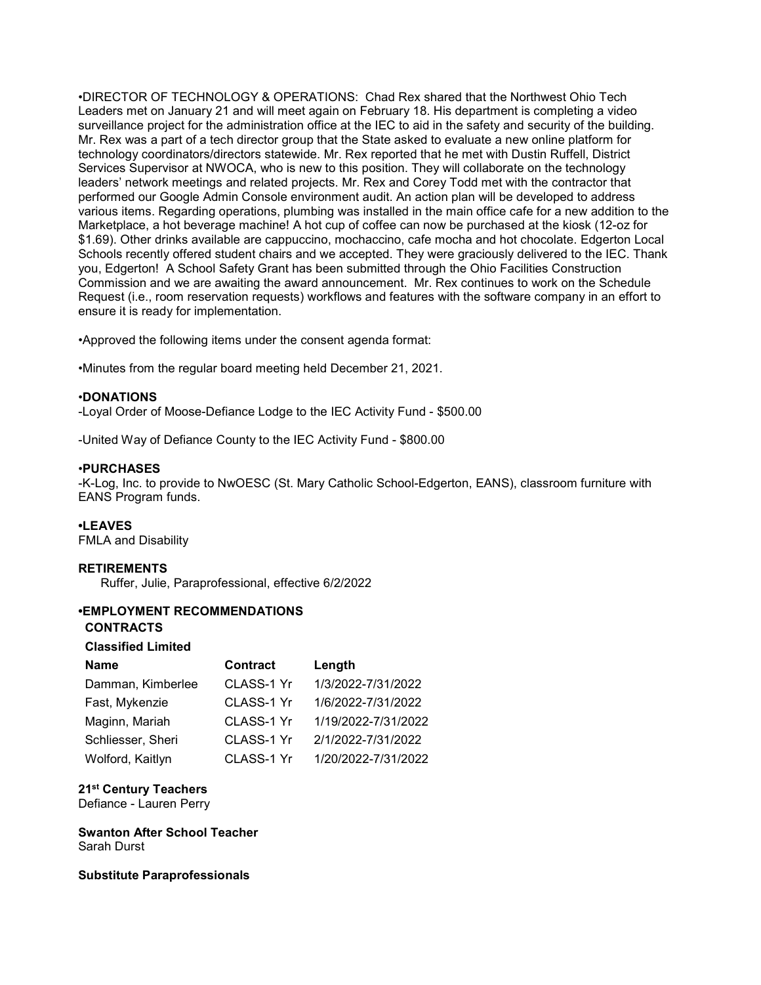•DIRECTOR OF TECHNOLOGY & OPERATIONS: Chad Rex shared that the Northwest Ohio Tech Leaders met on January 21 and will meet again on February 18. His department is completing a video surveillance project for the administration office at the IEC to aid in the safety and security of the building. Mr. Rex was a part of a tech director group that the State asked to evaluate a new online platform for technology coordinators/directors statewide. Mr. Rex reported that he met with Dustin Ruffell, District Services Supervisor at NWOCA, who is new to this position. They will collaborate on the technology leaders' network meetings and related projects. Mr. Rex and Corey Todd met with the contractor that performed our Google Admin Console environment audit. An action plan will be developed to address various items. Regarding operations, plumbing was installed in the main office cafe for a new addition to the Marketplace, a hot beverage machine! A hot cup of coffee can now be purchased at the kiosk (12-oz for \$1.69). Other drinks available are cappuccino, mochaccino, cafe mocha and hot chocolate. Edgerton Local Schools recently offered student chairs and we accepted. They were graciously delivered to the IEC. Thank you, Edgerton! A School Safety Grant has been submitted through the Ohio Facilities Construction Commission and we are awaiting the award announcement. Mr. Rex continues to work on the Schedule Request (i.e., room reservation requests) workflows and features with the software company in an effort to ensure it is ready for implementation.

•Approved the following items under the consent agenda format:

•Minutes from the regular board meeting held December 21, 2021.

## •DONATIONS

-Loyal Order of Moose-Defiance Lodge to the IEC Activity Fund - \$500.00

-United Way of Defiance County to the IEC Activity Fund - \$800.00

### •PURCHASES

-K-Log, Inc. to provide to NwOESC (St. Mary Catholic School-Edgerton, EANS), classroom furniture with EANS Program funds.

## •LEAVES

FMLA and Disability

## **RETIREMENTS**

Ruffer, Julie, Paraprofessional, effective 6/2/2022

# •EMPLOYMENT RECOMMENDATIONS

### CONTRACTS

### Classified Limited

| <b>Name</b>       | <b>Contract</b> | Length              |
|-------------------|-----------------|---------------------|
| Damman, Kimberlee | CLASS-1 Yr      | 1/3/2022-7/31/2022  |
| Fast, Mykenzie    | CLASS-1 Yr      | 1/6/2022-7/31/2022  |
| Maginn, Mariah    | CLASS-1 Yr      | 1/19/2022-7/31/2022 |
| Schliesser, Sheri | CLASS-1 Yr      | 2/1/2022-7/31/2022  |
| Wolford, Kaitlyn  | CLASS-1 Yr      | 1/20/2022-7/31/2022 |

## 21<sup>st</sup> Century Teachers

Defiance - Lauren Perry

Swanton After School Teacher Sarah Durst

### Substitute Paraprofessionals